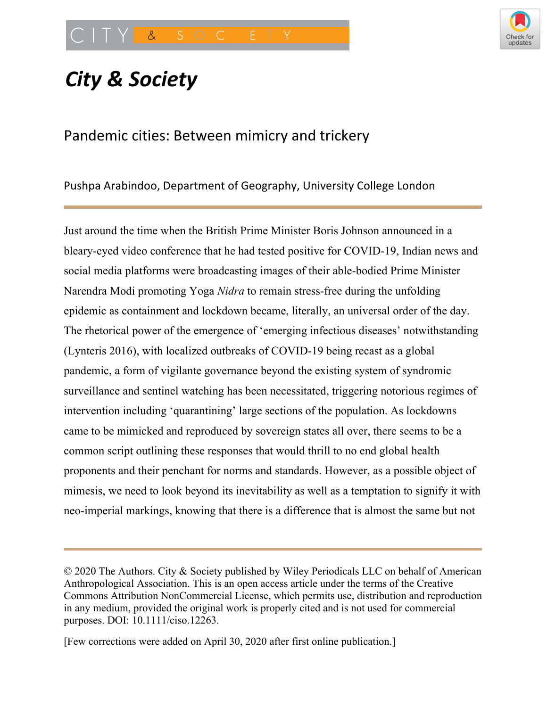

# *City & Society*

# Pandemic cities: Between mimicry and trickery

Pushpa Arabindoo, Department of Geography, University College London

Just around the time when the British Prime Minister Boris Johnson announced in a bleary-eyed video conference that he had tested positive for COVID-19, Indian news and social media platforms were broadcasting images of their able-bodied Prime Minister Narendra Modi promoting Yoga *Nidra* to remain stress-free during the unfolding epidemic as containment and lockdown became, literally, an universal order of the day. The rhetorical power of the emergence of 'emerging infectious diseases' notwithstanding (Lynteris 2016), with localized outbreaks of COVID-19 being recast as a global pandemic, a form of vigilante governance beyond the existing system of syndromic surveillance and sentinel watching has been necessitated, triggering notorious regimes of intervention including 'quarantining' large sections of the population. As lockdowns came to be mimicked and reproduced by sovereign states all over, there seems to be a common script outlining these responses that would thrill to no end global health proponents and their penchant for norms and standards. However, as a possible object of mimesis, we need to look beyond its inevitability as well as a temptation to signify it with neo-imperial markings, knowing that there is a difference that is almost the same but not

<sup>©</sup> 2020 The Authors. City & Society published by Wiley Periodicals LLC on behalf of American Anthropological Association. This is an open access article under the terms of the Creative Commons Attribution NonCommercial License, which permits use, distribution and reproduction in any medium, provided the original work is properly cited and is not used for commercial purposes. DOI: 10.1111/ciso.12263.

<sup>[</sup>Few corrections were added on April 30, 2020 after first online publication.]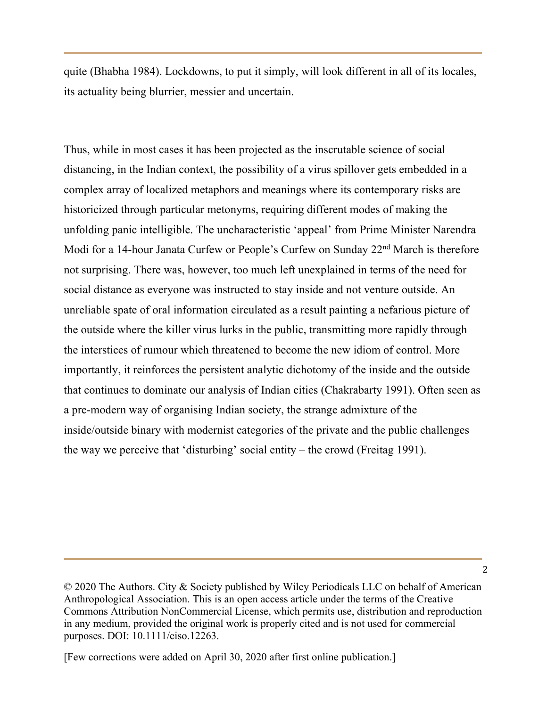quite (Bhabha 1984). Lockdowns, to put it simply, will look different in all of its locales, its actuality being blurrier, messier and uncertain.

Thus, while in most cases it has been projected as the inscrutable science of social distancing, in the Indian context, the possibility of a virus spillover gets embedded in a complex array of localized metaphors and meanings where its contemporary risks are historicized through particular metonyms, requiring different modes of making the unfolding panic intelligible. The uncharacteristic 'appeal' from Prime Minister Narendra Modi for a 14-hour Janata Curfew or People's Curfew on Sunday 22<sup>nd</sup> March is therefore not surprising. There was, however, too much left unexplained in terms of the need for social distance as everyone was instructed to stay inside and not venture outside. An unreliable spate of oral information circulated as a result painting a nefarious picture of the outside where the killer virus lurks in the public, transmitting more rapidly through the interstices of rumour which threatened to become the new idiom of control. More importantly, it reinforces the persistent analytic dichotomy of the inside and the outside that continues to dominate our analysis of Indian cities (Chakrabarty 1991). Often seen as a pre-modern way of organising Indian society, the strange admixture of the inside/outside binary with modernist categories of the private and the public challenges the way we perceive that 'disturbing' social entity – the crowd (Freitag 1991).

<sup>©</sup> 2020 The Authors. City & Society published by Wiley Periodicals LLC on behalf of American Anthropological Association. This is an open access article under the terms of the Creative Commons Attribution NonCommercial License, which permits use, distribution and reproduction in any medium, provided the original work is properly cited and is not used for commercial purposes. DOI: 10.1111/ciso.12263.

<sup>[</sup>Few corrections were added on April 30, 2020 after first online publication.]

<sup>2</sup>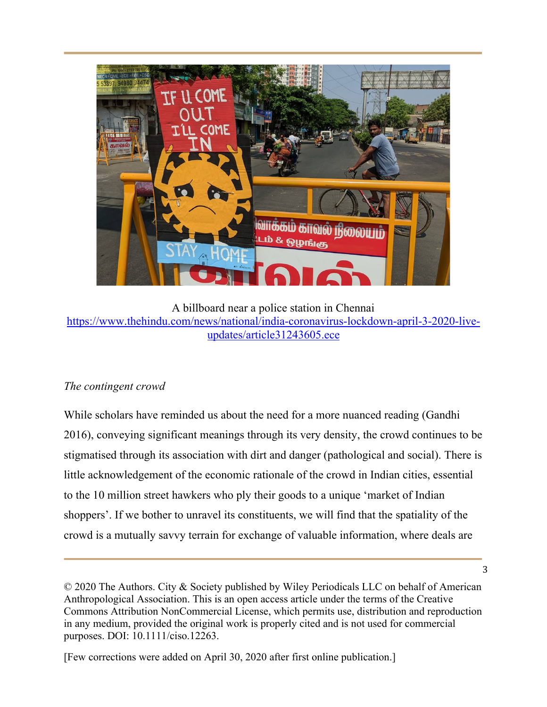

A billboard near a police station in Chennai https://www.thehindu.com/news/national/india-coronavirus-lockdown-april-3-2020-liveupdates/article31243605.ece

## *The contingent crowd*

While scholars have reminded us about the need for a more nuanced reading (Gandhi 2016), conveying significant meanings through its very density, the crowd continues to be stigmatised through its association with dirt and danger (pathological and social). There is little acknowledgement of the economic rationale of the crowd in Indian cities, essential to the 10 million street hawkers who ply their goods to a unique 'market of Indian shoppers'. If we bother to unravel its constituents, we will find that the spatiality of the crowd is a mutually savvy terrain for exchange of valuable information, where deals are

<sup>©</sup> 2020 The Authors. City & Society published by Wiley Periodicals LLC on behalf of American Anthropological Association. This is an open access article under the terms of the Creative Commons Attribution NonCommercial License, which permits use, distribution and reproduction in any medium, provided the original work is properly cited and is not used for commercial purposes. DOI: 10.1111/ciso.12263.

<sup>[</sup>Few corrections were added on April 30, 2020 after first online publication.]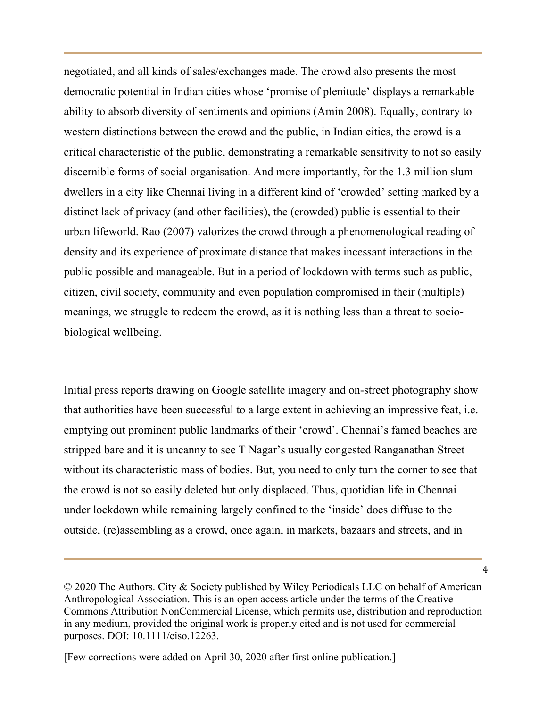negotiated, and all kinds of sales/exchanges made. The crowd also presents the most democratic potential in Indian cities whose 'promise of plenitude' displays a remarkable ability to absorb diversity of sentiments and opinions (Amin 2008). Equally, contrary to western distinctions between the crowd and the public, in Indian cities, the crowd is a critical characteristic of the public, demonstrating a remarkable sensitivity to not so easily discernible forms of social organisation. And more importantly, for the 1.3 million slum dwellers in a city like Chennai living in a different kind of 'crowded' setting marked by a distinct lack of privacy (and other facilities), the (crowded) public is essential to their urban lifeworld. Rao (2007) valorizes the crowd through a phenomenological reading of density and its experience of proximate distance that makes incessant interactions in the public possible and manageable. But in a period of lockdown with terms such as public, citizen, civil society, community and even population compromised in their (multiple) meanings, we struggle to redeem the crowd, as it is nothing less than a threat to sociobiological wellbeing.

Initial press reports drawing on Google satellite imagery and on-street photography show that authorities have been successful to a large extent in achieving an impressive feat, i.e. emptying out prominent public landmarks of their 'crowd'. Chennai's famed beaches are stripped bare and it is uncanny to see T Nagar's usually congested Ranganathan Street without its characteristic mass of bodies. But, you need to only turn the corner to see that the crowd is not so easily deleted but only displaced. Thus, quotidian life in Chennai under lockdown while remaining largely confined to the 'inside' does diffuse to the outside, (re)assembling as a crowd, once again, in markets, bazaars and streets, and in

<sup>©</sup> 2020 The Authors. City & Society published by Wiley Periodicals LLC on behalf of American Anthropological Association. This is an open access article under the terms of the Creative Commons Attribution NonCommercial License, which permits use, distribution and reproduction in any medium, provided the original work is properly cited and is not used for commercial purposes. DOI: 10.1111/ciso.12263.

<sup>[</sup>Few corrections were added on April 30, 2020 after first online publication.]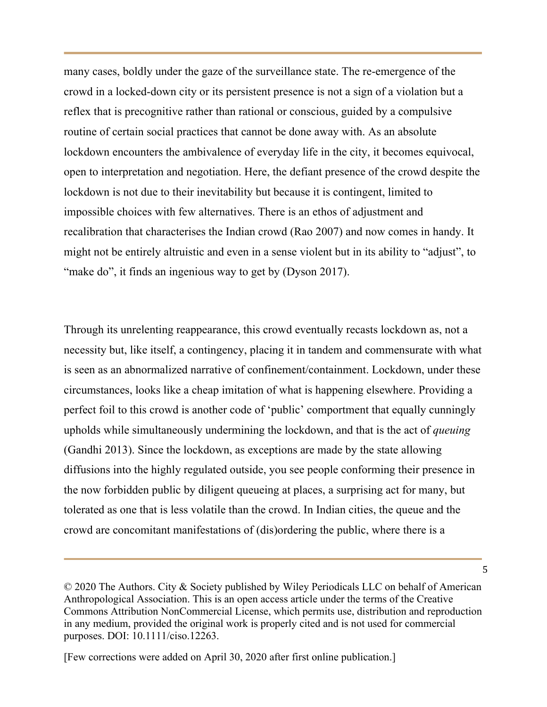many cases, boldly under the gaze of the surveillance state. The re-emergence of the crowd in a locked-down city or its persistent presence is not a sign of a violation but a reflex that is precognitive rather than rational or conscious, guided by a compulsive routine of certain social practices that cannot be done away with. As an absolute lockdown encounters the ambivalence of everyday life in the city, it becomes equivocal, open to interpretation and negotiation. Here, the defiant presence of the crowd despite the lockdown is not due to their inevitability but because it is contingent, limited to impossible choices with few alternatives. There is an ethos of adjustment and recalibration that characterises the Indian crowd (Rao 2007) and now comes in handy. It might not be entirely altruistic and even in a sense violent but in its ability to "adjust", to "make do", it finds an ingenious way to get by (Dyson 2017).

Through its unrelenting reappearance, this crowd eventually recasts lockdown as, not a necessity but, like itself, a contingency, placing it in tandem and commensurate with what is seen as an abnormalized narrative of confinement/containment. Lockdown, under these circumstances, looks like a cheap imitation of what is happening elsewhere. Providing a perfect foil to this crowd is another code of 'public' comportment that equally cunningly upholds while simultaneously undermining the lockdown, and that is the act of *queuing* (Gandhi 2013). Since the lockdown, as exceptions are made by the state allowing diffusions into the highly regulated outside, you see people conforming their presence in the now forbidden public by diligent queueing at places, a surprising act for many, but tolerated as one that is less volatile than the crowd. In Indian cities, the queue and the crowd are concomitant manifestations of (dis)ordering the public, where there is a

<sup>©</sup> 2020 The Authors. City & Society published by Wiley Periodicals LLC on behalf of American Anthropological Association. This is an open access article under the terms of the Creative Commons Attribution NonCommercial License, which permits use, distribution and reproduction in any medium, provided the original work is properly cited and is not used for commercial purposes. DOI: 10.1111/ciso.12263.

<sup>[</sup>Few corrections were added on April 30, 2020 after first online publication.]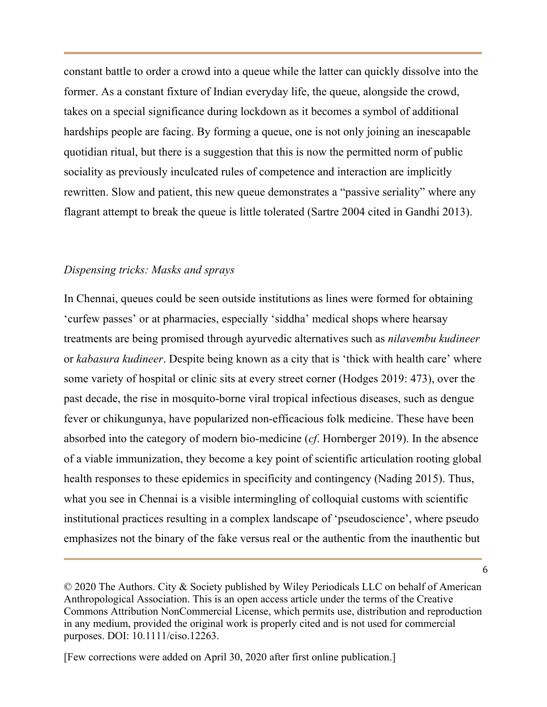constant battle to order a crowd into a queue while the latter can quickly dissolve into the former. As a constant fixture of Indian everyday life, the queue, alongside the crowd, takes on a special significance during lockdown as it becomes a symbol of additional hardships people are facing. By forming a queue, one is not only joining an inescapable quotidian ritual, but there is a suggestion that this is now the permitted norm of public sociality as previously inculcated rules of competence and interaction are implicitly rewritten. Slow and patient, this new queue demonstrates a "passive seriality" where any flagrant attempt to break the queue is little tolerated (Sartre 2004 cited in Gandhi 2013).

#### *Dispensing tricks: Masks and sprays*

In Chennai, queues could be seen outside institutions as lines were formed for obtaining 'curfew passes' or at pharmacies, especially 'siddha' medical shops where hearsay treatments are being promised through ayurvedic alternatives such as *nilavembu kudineer* or *kabasura kudineer*. Despite being known as a city that is 'thick with health care' where some variety of hospital or clinic sits at every street corner (Hodges 2019: 473), over the past decade, the rise in mosquito-borne viral tropical infectious diseases, such as dengue fever or chikungunya, have popularized non-efficacious folk medicine. These have been absorbed into the category of modern bio-medicine (*cf*. Hornberger 2019). In the absence of a viable immunization, they become a key point of scientific articulation rooting global health responses to these epidemics in specificity and contingency (Nading 2015). Thus, what you see in Chennai is a visible intermingling of colloquial customs with scientific institutional practices resulting in a complex landscape of 'pseudoscience', where pseudo emphasizes not the binary of the fake versus real or the authentic from the inauthentic but

<sup>©</sup> 2020 The Authors. City & Society published by Wiley Periodicals LLC on behalf of American Anthropological Association. This is an open access article under the terms of the Creative Commons Attribution NonCommercial License, which permits use, distribution and reproduction in any medium, provided the original work is properly cited and is not used for commercial purposes. DOI: 10.1111/ciso.12263.

<sup>[</sup>Few corrections were added on April 30, 2020 after first online publication.]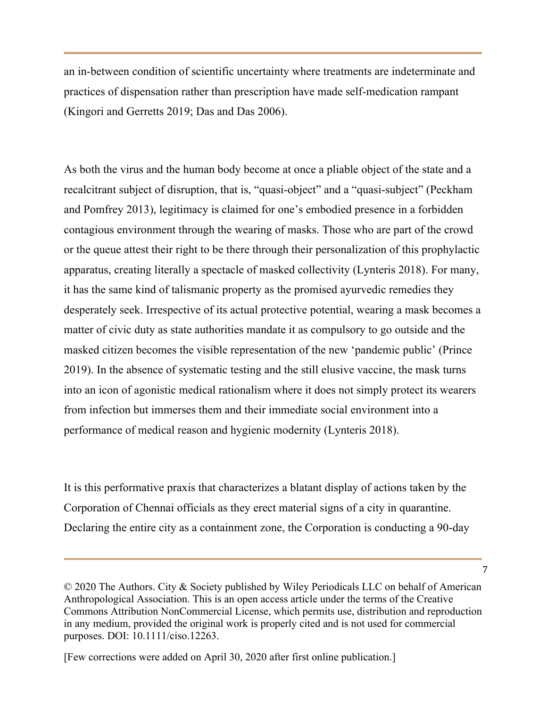an in-between condition of scientific uncertainty where treatments are indeterminate and practices of dispensation rather than prescription have made self-medication rampant (Kingori and Gerretts 2019; Das and Das 2006).

As both the virus and the human body become at once a pliable object of the state and a recalcitrant subject of disruption, that is, "quasi-object" and a "quasi-subject" (Peckham and Pomfrey 2013), legitimacy is claimed for one's embodied presence in a forbidden contagious environment through the wearing of masks. Those who are part of the crowd or the queue attest their right to be there through their personalization of this prophylactic apparatus, creating literally a spectacle of masked collectivity (Lynteris 2018). For many, it has the same kind of talismanic property as the promised ayurvedic remedies they desperately seek. Irrespective of its actual protective potential, wearing a mask becomes a matter of civic duty as state authorities mandate it as compulsory to go outside and the masked citizen becomes the visible representation of the new 'pandemic public' (Prince 2019). In the absence of systematic testing and the still elusive vaccine, the mask turns into an icon of agonistic medical rationalism where it does not simply protect its wearers from infection but immerses them and their immediate social environment into a performance of medical reason and hygienic modernity (Lynteris 2018).

It is this performative praxis that characterizes a blatant display of actions taken by the Corporation of Chennai officials as they erect material signs of a city in quarantine. Declaring the entire city as a containment zone, the Corporation is conducting a 90-day

<sup>©</sup> 2020 The Authors. City & Society published by Wiley Periodicals LLC on behalf of American Anthropological Association. This is an open access article under the terms of the Creative Commons Attribution NonCommercial License, which permits use, distribution and reproduction in any medium, provided the original work is properly cited and is not used for commercial purposes. DOI: 10.1111/ciso.12263.

<sup>[</sup>Few corrections were added on April 30, 2020 after first online publication.]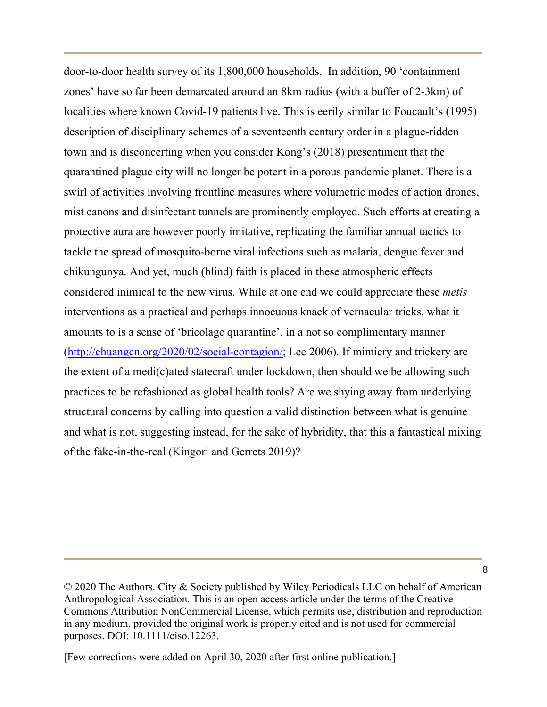door-to-door health survey of its 1,800,000 households. In addition, 90 'containment zones' have so far been demarcated around an 8km radius (with a buffer of 2-3km) of localities where known Covid-19 patients live. This is eerily similar to Foucault's (1995) description of disciplinary schemes of a seventeenth century order in a plague-ridden town and is disconcerting when you consider Kong's (2018) presentiment that the quarantined plague city will no longer be potent in a porous pandemic planet. There is a swirl of activities involving frontline measures where volumetric modes of action drones, mist canons and disinfectant tunnels are prominently employed. Such efforts at creating a protective aura are however poorly imitative, replicating the familiar annual tactics to tackle the spread of mosquito-borne viral infections such as malaria, dengue fever and chikungunya. And yet, much (blind) faith is placed in these atmospheric effects considered inimical to the new virus. While at one end we could appreciate these *metis* interventions as a practical and perhaps innocuous knack of vernacular tricks, what it amounts to is a sense of 'bricolage quarantine', in a not so complimentary manner (http://chuangcn.org/2020/02/social-contagion/; Lee 2006). If mimicry and trickery are the extent of a medi(c)ated statecraft under lockdown, then should we be allowing such practices to be refashioned as global health tools? Are we shying away from underlying structural concerns by calling into question a valid distinction between what is genuine and what is not, suggesting instead, for the sake of hybridity, that this a fantastical mixing of the fake-in-the-real (Kingori and Gerrets 2019)?

<sup>©</sup> 2020 The Authors. City & Society published by Wiley Periodicals LLC on behalf of American Anthropological Association. This is an open access article under the terms of the Creative Commons Attribution NonCommercial License, which permits use, distribution and reproduction in any medium, provided the original work is properly cited and is not used for commercial purposes. DOI: 10.1111/ciso.12263.

<sup>[</sup>Few corrections were added on April 30, 2020 after first online publication.]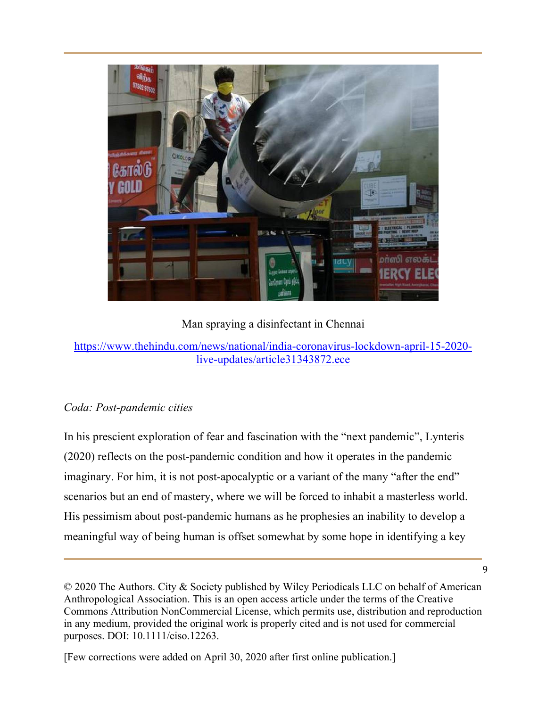

Man spraying a disinfectant in Chennai

## *Coda: Post-pandemic cities*

In his prescient exploration of fear and fascination with the "next pandemic", Lynteris (2020) reflects on the post-pandemic condition and how it operates in the pandemic imaginary. For him, it is not post-apocalyptic or a variant of the many "after the end" scenarios but an end of mastery, where we will be forced to inhabit a masterless world. His pessimism about post-pandemic humans as he prophesies an inability to develop a meaningful way of being human is offset somewhat by some hope in identifying a key

https://www.thehindu.com/news/national/india-coronavirus-lockdown-april-15-2020 live-updates/article31343872.ece

<sup>©</sup> 2020 The Authors. City & Society published by Wiley Periodicals LLC on behalf of American Anthropological Association. This is an open access article under the terms of the Creative Commons Attribution NonCommercial License, which permits use, distribution and reproduction in any medium, provided the original work is properly cited and is not used for commercial purposes. DOI: 10.1111/ciso.12263.

<sup>[</sup>Few corrections were added on April 30, 2020 after first online publication.]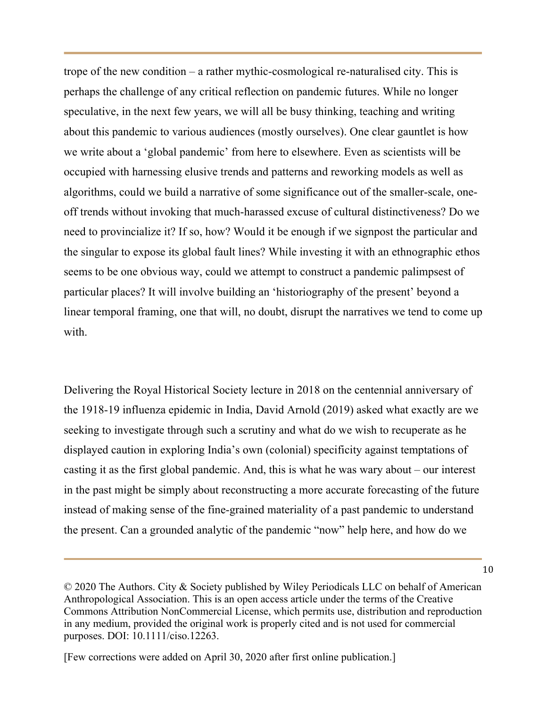trope of the new condition – a rather mythic-cosmological re-naturalised city. This is perhaps the challenge of any critical reflection on pandemic futures. While no longer speculative, in the next few years, we will all be busy thinking, teaching and writing about this pandemic to various audiences (mostly ourselves). One clear gauntlet is how we write about a 'global pandemic' from here to elsewhere. Even as scientists will be occupied with harnessing elusive trends and patterns and reworking models as well as algorithms, could we build a narrative of some significance out of the smaller-scale, oneoff trends without invoking that much-harassed excuse of cultural distinctiveness? Do we need to provincialize it? If so, how? Would it be enough if we signpost the particular and the singular to expose its global fault lines? While investing it with an ethnographic ethos seems to be one obvious way, could we attempt to construct a pandemic palimpsest of particular places? It will involve building an 'historiography of the present' beyond a linear temporal framing, one that will, no doubt, disrupt the narratives we tend to come up with.

Delivering the Royal Historical Society lecture in 2018 on the centennial anniversary of the 1918-19 influenza epidemic in India, David Arnold (2019) asked what exactly are we seeking to investigate through such a scrutiny and what do we wish to recuperate as he displayed caution in exploring India's own (colonial) specificity against temptations of casting it as the first global pandemic. And, this is what he was wary about – our interest in the past might be simply about reconstructing a more accurate forecasting of the future instead of making sense of the fine-grained materiality of a past pandemic to understand the present. Can a grounded analytic of the pandemic "now" help here, and how do we

<sup>©</sup> 2020 The Authors. City & Society published by Wiley Periodicals LLC on behalf of American Anthropological Association. This is an open access article under the terms of the Creative Commons Attribution NonCommercial License, which permits use, distribution and reproduction in any medium, provided the original work is properly cited and is not used for commercial purposes. DOI: 10.1111/ciso.12263.

<sup>[</sup>Few corrections were added on April 30, 2020 after first online publication.]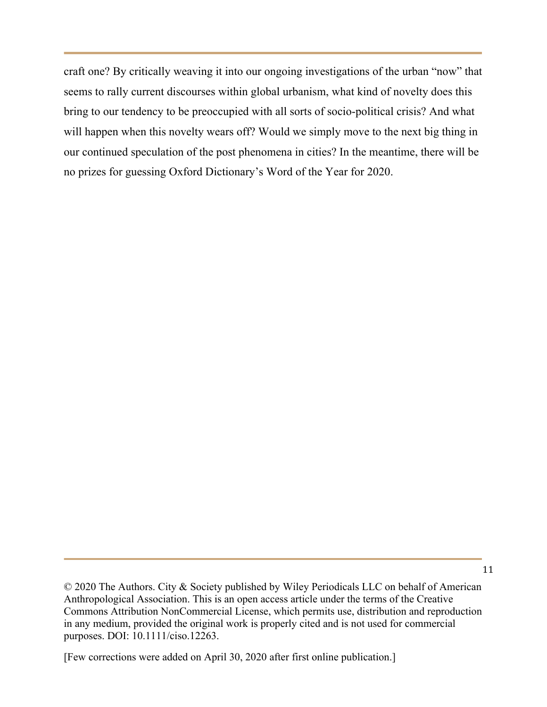craft one? By critically weaving it into our ongoing investigations of the urban "now" that seems to rally current discourses within global urbanism, what kind of novelty does this bring to our tendency to be preoccupied with all sorts of socio-political crisis? And what will happen when this novelty wears off? Would we simply move to the next big thing in our continued speculation of the post phenomena in cities? In the meantime, there will be no prizes for guessing Oxford Dictionary's Word of the Year for 2020.

<sup>©</sup> 2020 The Authors. City & Society published by Wiley Periodicals LLC on behalf of American Anthropological Association. This is an open access article under the terms of the Creative Commons Attribution NonCommercial License, which permits use, distribution and reproduction in any medium, provided the original work is properly cited and is not used for commercial purposes. DOI: 10.1111/ciso.12263.

<sup>[</sup>Few corrections were added on April 30, 2020 after first online publication.]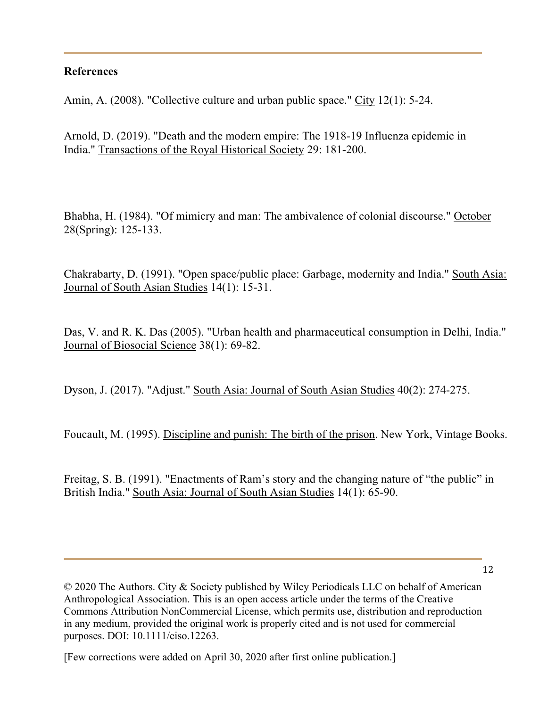#### **References**

Amin, A. (2008). "Collective culture and urban public space." City 12(1): 5-24.

Arnold, D. (2019). "Death and the modern empire: The 1918-19 Influenza epidemic in India." Transactions of the Royal Historical Society 29: 181-200.

Bhabha, H. (1984). "Of mimicry and man: The ambivalence of colonial discourse." October 28(Spring): 125-133.

Chakrabarty, D. (1991). "Open space/public place: Garbage, modernity and India." South Asia: Journal of South Asian Studies 14(1): 15-31.

Das, V. and R. K. Das (2005). "Urban health and pharmaceutical consumption in Delhi, India." Journal of Biosocial Science 38(1): 69-82.

Dyson, J. (2017). "Adjust." South Asia: Journal of South Asian Studies 40(2): 274-275.

Foucault, M. (1995). Discipline and punish: The birth of the prison. New York, Vintage Books.

Freitag, S. B. (1991). "Enactments of Ram's story and the changing nature of "the public" in British India." South Asia: Journal of South Asian Studies 14(1): 65-90.

© 2020 The Authors. City & Society published by Wiley Periodicals LLC on behalf of American Anthropological Association. This is an open access article under the terms of the Creative Commons Attribution NonCommercial License, which permits use, distribution and reproduction in any medium, provided the original work is properly cited and is not used for commercial purposes. DOI: 10.1111/ciso.12263.

[Few corrections were added on April 30, 2020 after first online publication.]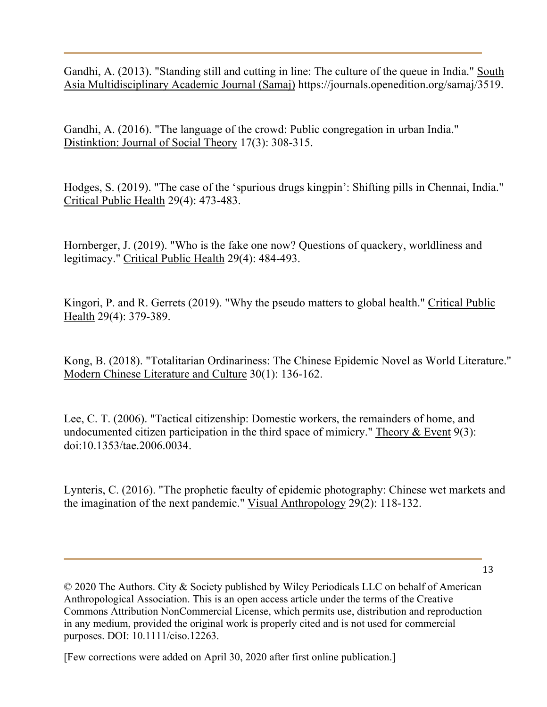Gandhi, A. (2013). "Standing still and cutting in line: The culture of the queue in India." South Asia Multidisciplinary Academic Journal (Samaj) https://journals.openedition.org/samaj/3519.

Gandhi, A. (2016). "The language of the crowd: Public congregation in urban India." Distinktion: Journal of Social Theory 17(3): 308-315.

Hodges, S. (2019). "The case of the 'spurious drugs kingpin': Shifting pills in Chennai, India." Critical Public Health 29(4): 473-483.

Hornberger, J. (2019). "Who is the fake one now? Questions of quackery, worldliness and legitimacy." Critical Public Health 29(4): 484-493.

Kingori, P. and R. Gerrets (2019). "Why the pseudo matters to global health." Critical Public Health 29(4): 379-389.

Kong, B. (2018). "Totalitarian Ordinariness: The Chinese Epidemic Novel as World Literature." Modern Chinese Literature and Culture 30(1): 136-162.

Lee, C. T. (2006). "Tactical citizenship: Domestic workers, the remainders of home, and undocumented citizen participation in the third space of mimicry." Theory  $\&$  Event 9(3): doi:10.1353/tae.2006.0034.

Lynteris, C. (2016). "The prophetic faculty of epidemic photography: Chinese wet markets and the imagination of the next pandemic." Visual Anthropology 29(2): 118-132.

13

© 2020 The Authors. City & Society published by Wiley Periodicals LLC on behalf of American Anthropological Association. This is an open access article under the terms of the Creative Commons Attribution NonCommercial License, which permits use, distribution and reproduction in any medium, provided the original work is properly cited and is not used for commercial purposes. DOI: 10.1111/ciso.12263.

[Few corrections were added on April 30, 2020 after first online publication.]